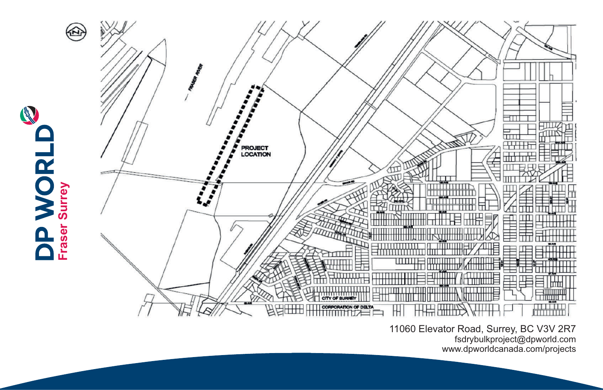

11060 Elevator Road, Surrey, BC V3V 2R7 fsdrybulkproject@dpworld.com www.dpworldcanada.com/projects